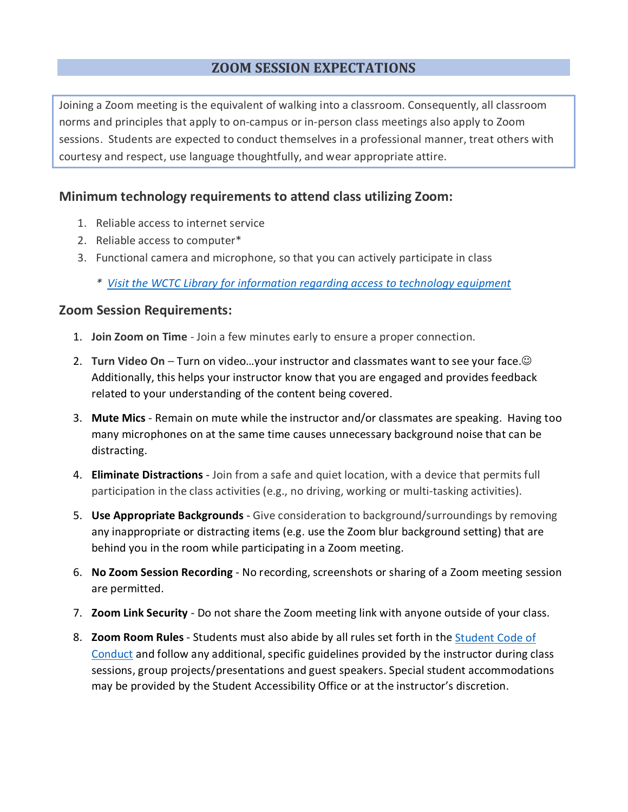## **ZOOM SESSION EXPECTATIONS**

Joining a Zoom meeting is the equivalent of walking into a classroom. Consequently, all classroom norms and principles that apply to on-campus or in-person class meetings also apply to Zoom sessions. Students are expected to conduct themselves in a professional manner, treat others with courtesy and respect, use language thoughtfully, and wear appropriate attire.

## **Minimum technology requirements to attend class utilizing Zoom:**

- 1. Reliable access to internet service
- 2. Reliable access to computer\*
- 3. Functional camera and microphone, so that you can actively participate in class
	- *\* [Visit the WCTC Library for information regarding access to technology equipment](https://libguides.wctc.edu/home/lendinginformation)*

## **Zoom Session Requirements:**

- 1. **Join Zoom on Time** Join a few minutes early to ensure a proper connection.
- 2. **Turn Video On** Turn on video…your instructor and classmates want to see your face. Additionally, this helps your instructor know that you are engaged and provides feedback related to your understanding of the content being covered.
- 3. **Mute Mics** Remain on mute while the instructor and/or classmates are speaking. Having too many microphones on at the same time causes unnecessary background noise that can be distracting.
- 4. **Eliminate Distractions** Join from a safe and quiet location, with a device that permits full participation in the class activities (e.g., no driving, working or multi-tasking activities).
- 5. **Use Appropriate Backgrounds** Give consideration to background/surroundings by removing any inappropriate or distracting items (e.g. use the Zoom blur background setting) that are behind you in the room while participating in a Zoom meeting.
- 6. **No Zoom Session Recording** No recording, screenshots or sharing of a Zoom meeting session are permitted.
- 7. **Zoom Link Security** Do not share the Zoom meeting link with anyone outside of your class.
- 8. **Zoom Room Rules** Students must also abide by all rules set forth in the [Student Code of](https://www.wctc.edu/campus-life/safety-policies/student-code-of-conduct/index.php)  [Conduct](https://www.wctc.edu/campus-life/safety-policies/student-code-of-conduct/index.php) and follow any additional, specific guidelines provided by the instructor during class sessions, group projects/presentations and guest speakers. Special student accommodations may be provided by the Student Accessibility Office or at the instructor's discretion.